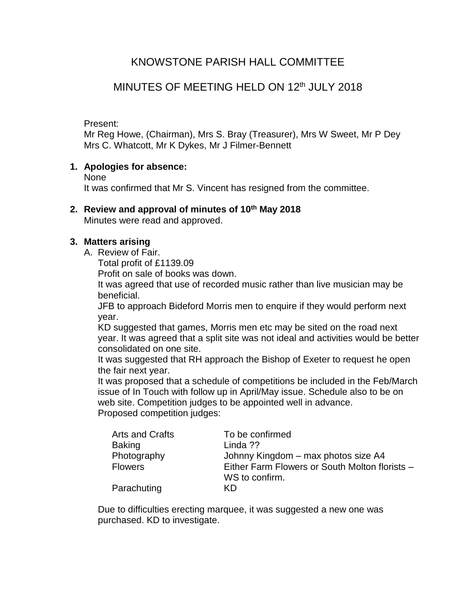# KNOWSTONE PARISH HALL COMMITTEE

# MINUTES OF MEETING HELD ON 12th JULY 2018

Present:

Mr Reg Howe, (Chairman), Mrs S. Bray (Treasurer), Mrs W Sweet, Mr P Dey Mrs C. Whatcott, Mr K Dykes, Mr J Filmer-Bennett

#### **1. Apologies for absence:**

None

It was confirmed that Mr S. Vincent has resigned from the committee.

### **2. Review and approval of minutes of 10 th May 2018**

Minutes were read and approved.

#### **3. Matters arising**

- A. Review of Fair.
	- Total profit of £1139.09

Profit on sale of books was down.

It was agreed that use of recorded music rather than live musician may be beneficial.

JFB to approach Bideford Morris men to enquire if they would perform next year.

KD suggested that games, Morris men etc may be sited on the road next year. It was agreed that a split site was not ideal and activities would be better consolidated on one site.

It was suggested that RH approach the Bishop of Exeter to request he open the fair next year.

It was proposed that a schedule of competitions be included in the Feb/March issue of In Touch with follow up in April/May issue. Schedule also to be on web site. Competition judges to be appointed well in advance. Proposed competition judges:

| <b>Arts and Crafts</b> | To be confirmed                                |
|------------------------|------------------------------------------------|
| <b>Baking</b>          | Linda ??                                       |
| Photography            | Johnny Kingdom - max photos size A4            |
| <b>Flowers</b>         | Either Farm Flowers or South Molton florists - |
|                        | WS to confirm.                                 |
| Parachuting            | κn                                             |

Due to difficulties erecting marquee, it was suggested a new one was purchased. KD to investigate.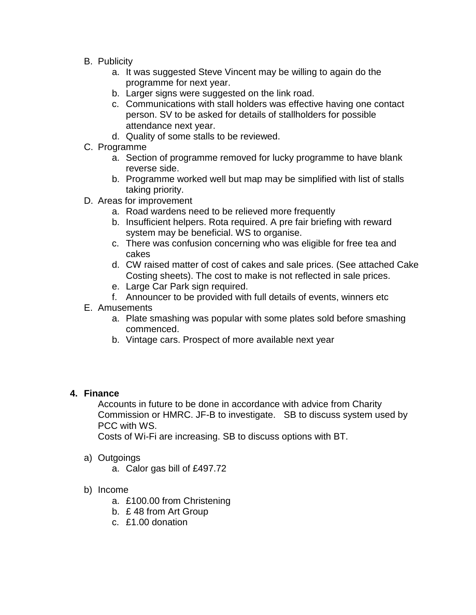- B. Publicity
	- a. It was suggested Steve Vincent may be willing to again do the programme for next year.
	- b. Larger signs were suggested on the link road.
	- c. Communications with stall holders was effective having one contact person. SV to be asked for details of stallholders for possible attendance next year.
	- d. Quality of some stalls to be reviewed.
- C. Programme
	- a. Section of programme removed for lucky programme to have blank reverse side.
	- b. Programme worked well but map may be simplified with list of stalls taking priority.
- D. Areas for improvement
	- a. Road wardens need to be relieved more frequently
	- b. Insufficient helpers. Rota required. A pre fair briefing with reward system may be beneficial. WS to organise.
	- c. There was confusion concerning who was eligible for free tea and cakes
	- d. CW raised matter of cost of cakes and sale prices. (See attached Cake Costing sheets). The cost to make is not reflected in sale prices.
	- e. Large Car Park sign required.
	- f. Announcer to be provided with full details of events, winners etc
- E. Amusements
	- a. Plate smashing was popular with some plates sold before smashing commenced.
	- b. Vintage cars. Prospect of more available next year

## **4. Finance**

Accounts in future to be done in accordance with advice from Charity Commission or HMRC. JF-B to investigate. SB to discuss system used by PCC with WS.

Costs of Wi-Fi are increasing. SB to discuss options with BT.

- a) Outgoings
	- a. Calor gas bill of £497.72
- b) Income
	- a. £100.00 from Christening
	- b. £ 48 from Art Group
	- c. £1.00 donation